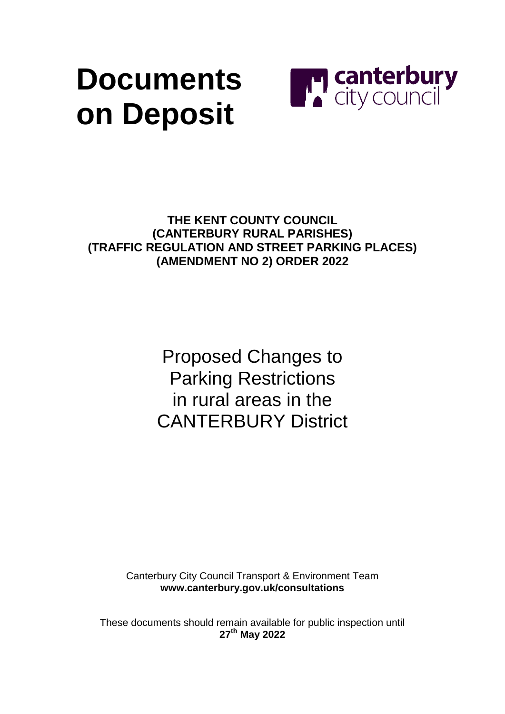# **Documents on Deposit**



**THE KENT COUNTY COUNCIL (CANTERBURY RURAL PARISHES) (TRAFFIC REGULATION AND STREET PARKING PLACES) (AMENDMENT NO 2) ORDER 2022**

> Proposed Changes to Parking Restrictions in rural areas in the CANTERBURY District

Canterbury City Council Transport & Environment Team **[www.canterbury.gov.uk/consultations](http://www.canterbury.gov.uk/consultations)**

These documents should remain available for public inspection until **27 th May 2022**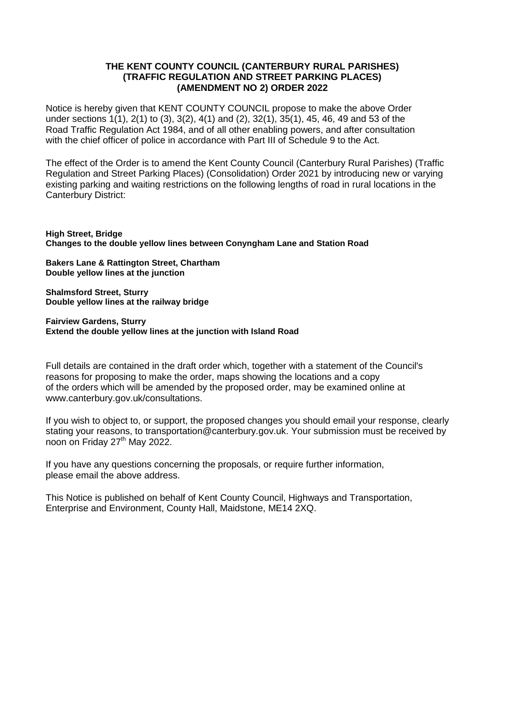#### **THE KENT COUNTY COUNCIL (CANTERBURY RURAL PARISHES) (TRAFFIC REGULATION AND STREET PARKING PLACES) (AMENDMENT NO 2) ORDER 2022**

Notice is hereby given that KENT COUNTY COUNCIL propose to make the above Order under sections 1(1), 2(1) to (3), 3(2), 4(1) and (2), 32(1), 35(1), 45, 46, 49 and 53 of the Road Traffic Regulation Act 1984, and of all other enabling powers, and after consultation with the chief officer of police in accordance with Part III of Schedule 9 to the Act.

The effect of the Order is to amend the Kent County Council (Canterbury Rural Parishes) (Traffic Regulation and Street Parking Places) (Consolidation) Order 2021 by introducing new or varying existing parking and waiting restrictions on the following lengths of road in rural locations in the Canterbury District:

**High Street, Bridge Changes to the double yellow lines between Conyngham Lane and Station Road**

**Bakers Lane & Rattington Street, Chartham Double yellow lines at the junction**

**Shalmsford Street, Sturry Double yellow lines at the railway bridge**

**Fairview Gardens, Sturry Extend the double yellow lines at the junction with Island Road**

Full details are contained in the draft order which, together with a statement of the Council's reasons for proposing to make the order, maps showing the locations and a copy of the orders which will be amended by the proposed order, may be examined online at www.canterbury.gov.uk/consultations.

If you wish to object to, or support, the proposed changes you should email your response, clearly stating your reasons, to transportation@canterbury.gov.uk. Your submission must be received by noon on Friday 27<sup>th</sup> May 2022.

If you have any questions concerning the proposals, or require further information, please email the above address.

This Notice is published on behalf of Kent County Council, Highways and Transportation, Enterprise and Environment, County Hall, Maidstone, ME14 2XQ.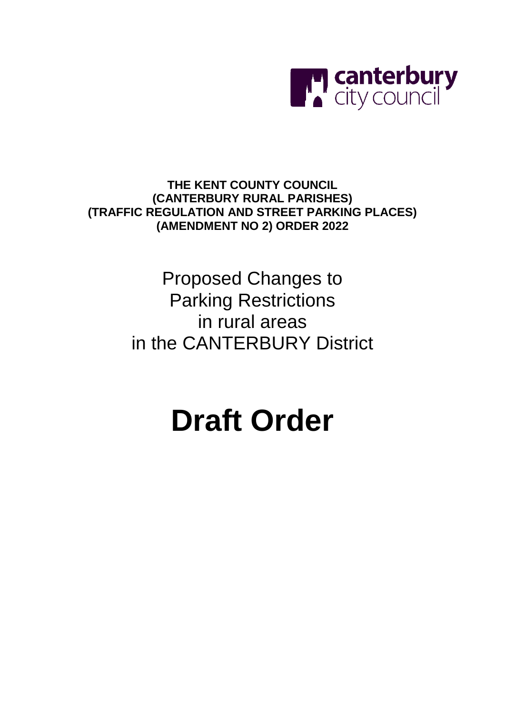

**THE KENT COUNTY COUNCIL (CANTERBURY RURAL PARISHES) (TRAFFIC REGULATION AND STREET PARKING PLACES) (AMENDMENT NO 2) ORDER 2022**

> Proposed Changes to Parking Restrictions in rural areas in the CANTERBURY District

# **Draft Order**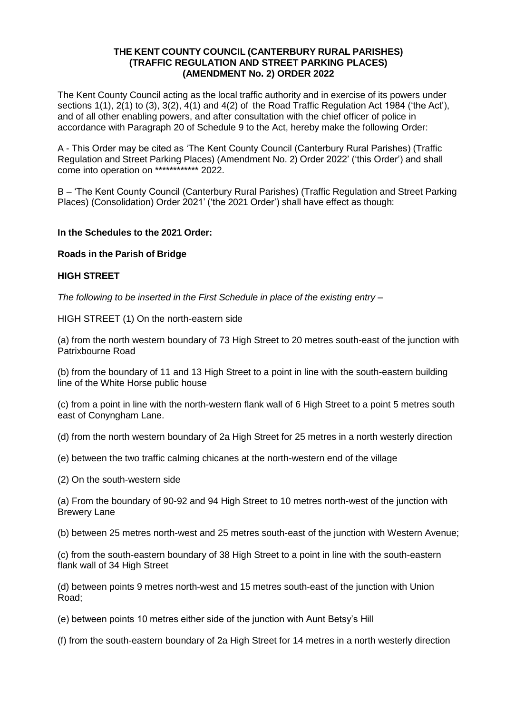#### **THE KENT COUNTY COUNCIL (CANTERBURY RURAL PARISHES) (TRAFFIC REGULATION AND STREET PARKING PLACES) (AMENDMENT No. 2) ORDER 2022**

The Kent County Council acting as the local traffic authority and in exercise of its powers under sections 1(1), 2(1) to (3), 3(2), 4(1) and 4(2) of the Road Traffic Regulation Act 1984 ('the Act'), and of all other enabling powers, and after consultation with the chief officer of police in accordance with Paragraph 20 of Schedule 9 to the Act, hereby make the following Order:

A - This Order may be cited as 'The Kent County Council (Canterbury Rural Parishes) (Traffic Regulation and Street Parking Places) (Amendment No. 2) Order 2022' ('this Order') and shall come into operation on \*\*\*\*\*\*\*\*\*\*\*\*\* 2022.

B – 'The Kent County Council (Canterbury Rural Parishes) (Traffic Regulation and Street Parking Places) (Consolidation) Order 2021' ('the 2021 Order') shall have effect as though:

#### **In the Schedules to the 2021 Order:**

#### **Roads in the Parish of Bridge**

#### **HIGH STREET**

*The following to be inserted in the First Schedule in place of the existing entry –*

HIGH STREET (1) On the north-eastern side

(a) from the north western boundary of 73 High Street to 20 metres south-east of the junction with Patrixbourne Road

(b) from the boundary of 11 and 13 High Street to a point in line with the south-eastern building line of the White Horse public house

(c) from a point in line with the north-western flank wall of 6 High Street to a point 5 metres south east of Conyngham Lane.

(d) from the north western boundary of 2a High Street for 25 metres in a north westerly direction

(e) between the two traffic calming chicanes at the north-western end of the village

(2) On the south-western side

(a) From the boundary of 90-92 and 94 High Street to 10 metres north-west of the junction with Brewery Lane

(b) between 25 metres north-west and 25 metres south-east of the junction with Western Avenue;

(c) from the south-eastern boundary of 38 High Street to a point in line with the south-eastern flank wall of 34 High Street

(d) between points 9 metres north-west and 15 metres south-east of the junction with Union Road;

(e) between points 10 metres either side of the junction with Aunt Betsy's Hill

(f) from the south-eastern boundary of 2a High Street for 14 metres in a north westerly direction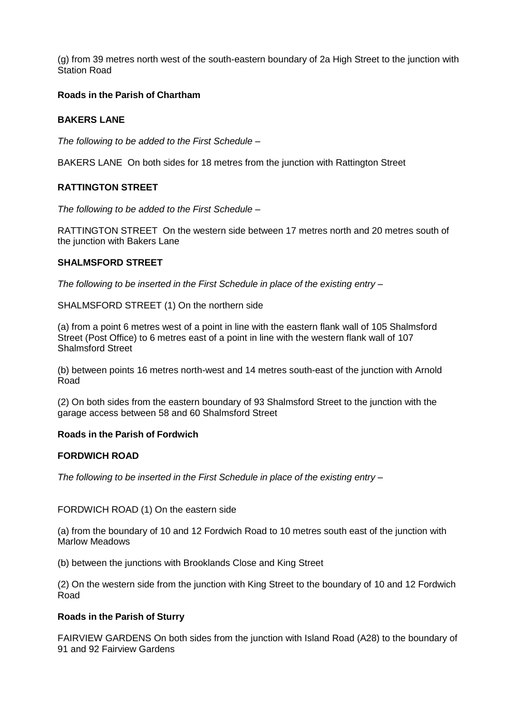(g) from 39 metres north west of the south-eastern boundary of 2a High Street to the junction with Station Road

#### **Roads in the Parish of Chartham**

#### **BAKERS LANE**

*The following to be added to the First Schedule –*

BAKERS LANE On both sides for 18 metres from the junction with Rattington Street

#### **RATTINGTON STREET**

*The following to be added to the First Schedule –*

RATTINGTON STREET On the western side between 17 metres north and 20 metres south of the junction with Bakers Lane

#### **SHALMSFORD STREET**

*The following to be inserted in the First Schedule in place of the existing entry –*

SHALMSFORD STREET (1) On the northern side

(a) from a point 6 metres west of a point in line with the eastern flank wall of 105 Shalmsford Street (Post Office) to 6 metres east of a point in line with the western flank wall of 107 Shalmsford Street

(b) between points 16 metres north-west and 14 metres south-east of the junction with Arnold Road

(2) On both sides from the eastern boundary of 93 Shalmsford Street to the junction with the garage access between 58 and 60 Shalmsford Street

#### **Roads in the Parish of Fordwich**

#### **FORDWICH ROAD**

*The following to be inserted in the First Schedule in place of the existing entry –*

FORDWICH ROAD (1) On the eastern side

(a) from the boundary of 10 and 12 Fordwich Road to 10 metres south east of the junction with Marlow Meadows

(b) between the junctions with Brooklands Close and King Street

(2) On the western side from the junction with King Street to the boundary of 10 and 12 Fordwich Road

#### **Roads in the Parish of Sturry**

FAIRVIEW GARDENS On both sides from the junction with Island Road (A28) to the boundary of 91 and 92 Fairview Gardens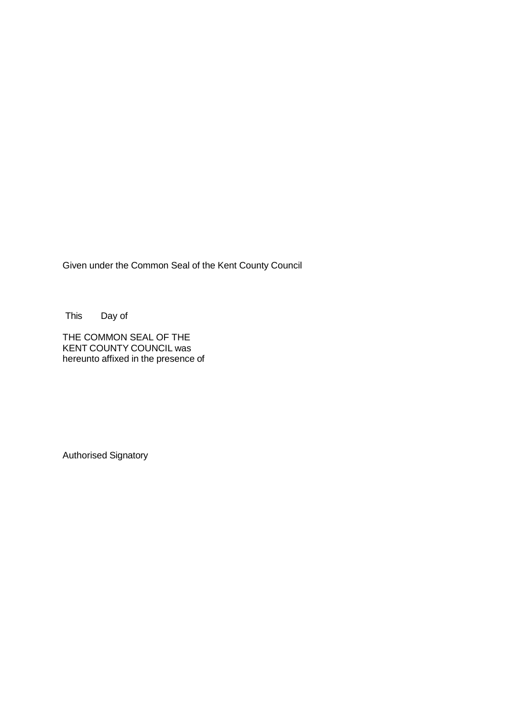Given under the Common Seal of the Kent County Council

This Day of

THE COMMON SEAL OF THE KENT COUNTY COUNCIL was hereunto affixed in the presence of

Authorised Signatory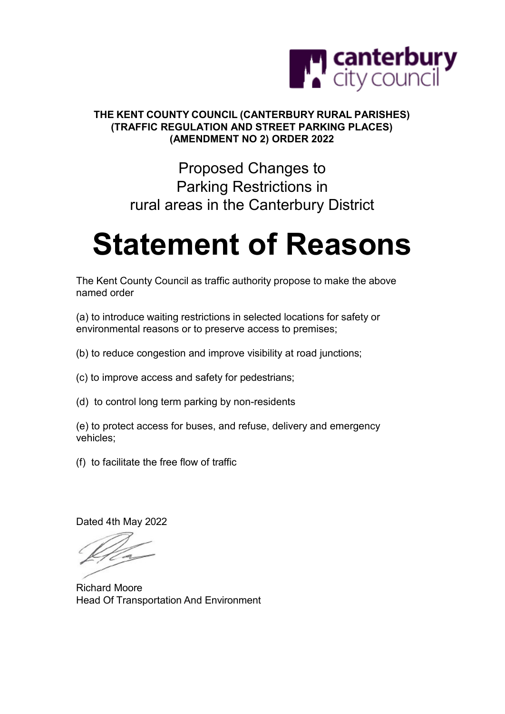

#### **THE KENT COUNTY COUNCIL (CANTERBURY RURAL PARISHES) (TRAFFIC REGULATION AND STREET PARKING PLACES) (AMENDMENT NO 2) ORDER 2022**

### Proposed Changes to Parking Restrictions in rural areas in the Canterbury District

## **Statement of Reasons**

The Kent County Council as traffic authority propose to make the above named order

(a) to introduce waiting restrictions in selected locations for safety or environmental reasons or to preserve access to premises;

(b) to reduce congestion and improve visibility at road junctions;

(c) to improve access and safety for pedestrians;

(d) to control long term parking by non-residents

(e) to protect access for buses, and refuse, delivery and emergency vehicles;

(f) to facilitate the free flow of traffic

Dated 4th May 2022

Richard Moore Head Of Transportation And Environment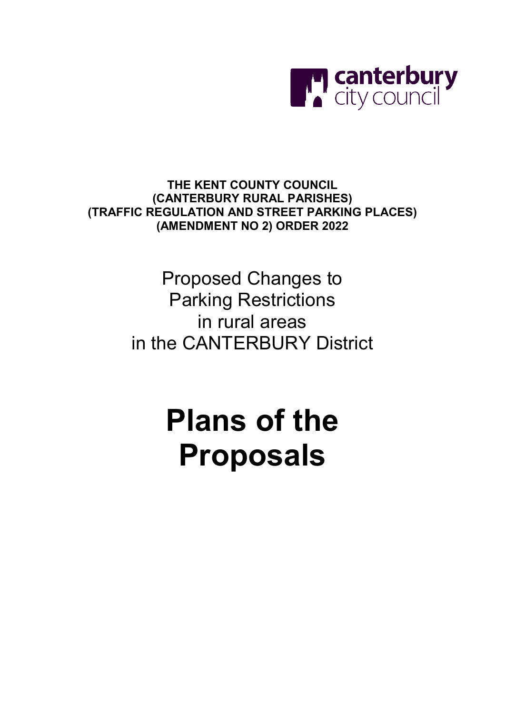

**THE KENT COUNTY COUNCIL (CANTERBURY RURAL PARISHES) (TRAFFIC REGULATION AND STREET PARKING PLACES) (AMENDMENT NO 2) ORDER 2022**

> Proposed Changes to Parking Restrictions in rural areas in the CANTERBURY District

# **Plans of the Proposals**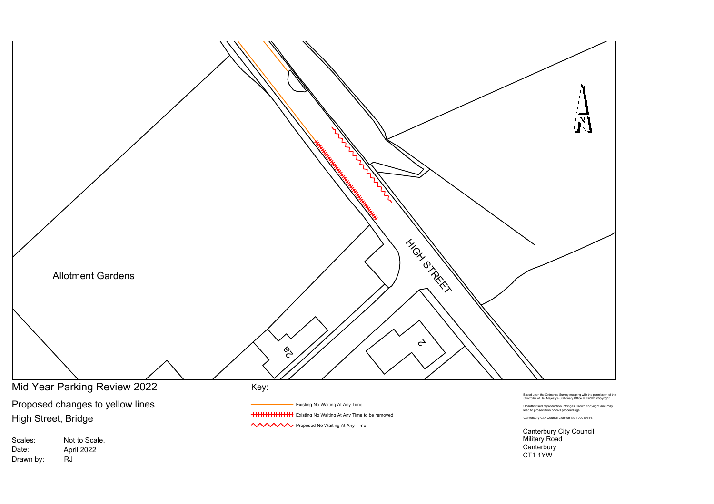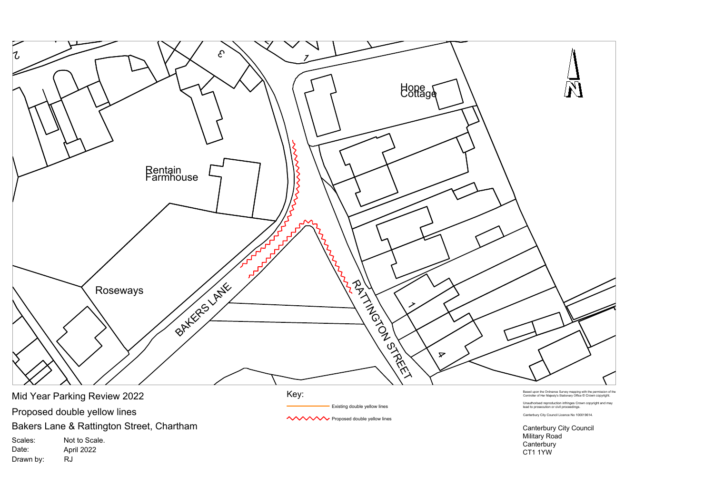

Drawn by:

RJ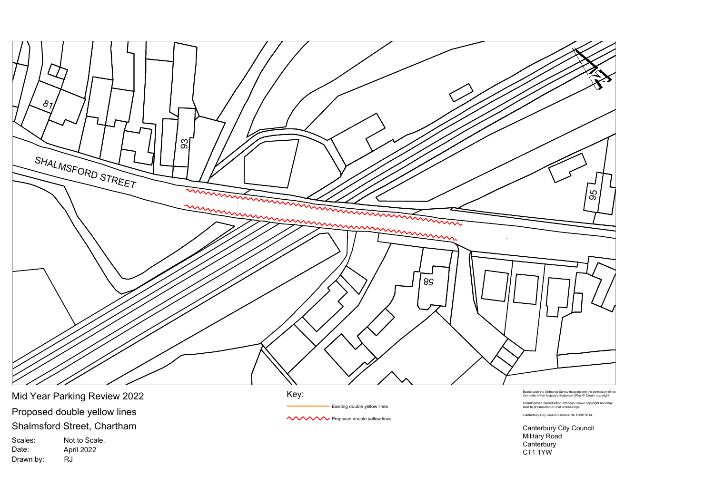

Proposed double yellow lines Shalmsford Street, Chartham Mid Year Parking Review 2022

Scales: Date: Drawn by: Not to Scale. April 2022 RJ

Key:

Existing double yellow lines

**WWW Proposed double yellow lines** 

Based upon the Ordnance Survey mapping with the permission of the Controller of Her Majesty's Stationary Office © Crown copyright.

Unauthorised reproduction infringes Crown copyright and may lead to prosecution or civil proceedings.

Canterbury City Council Licence No 100019614.

Canterbury City Council Military Road Canterbury CT1 1YW